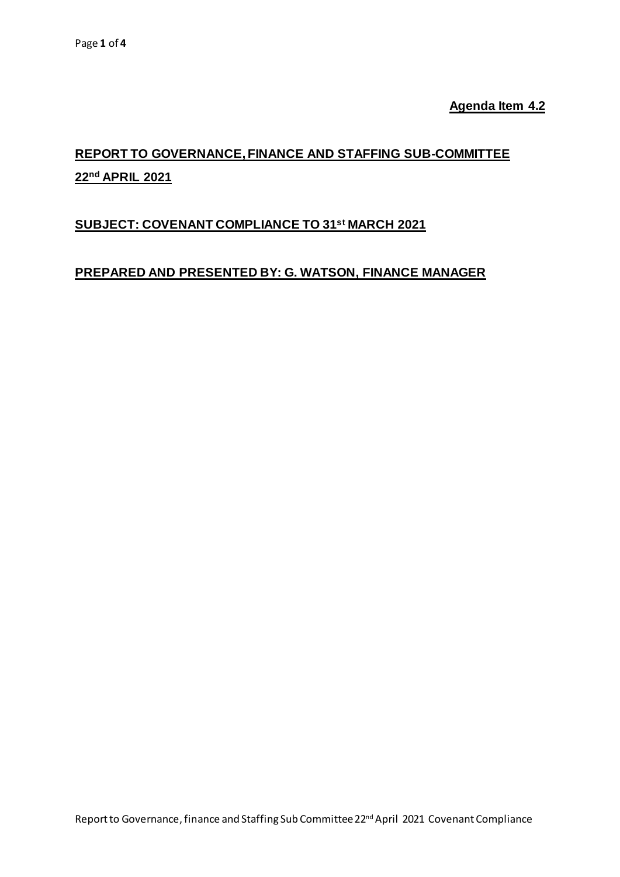**Agenda Item 4.2**

# **REPORT TO GOVERNANCE, FINANCE AND STAFFING SUB-COMMITTEE 22nd APRIL 2021**

# **SUBJECT: COVENANT COMPLIANCE TO 31 st MARCH 2021**

### **PREPARED AND PRESENTED BY: G. WATSON, FINANCE MANAGER**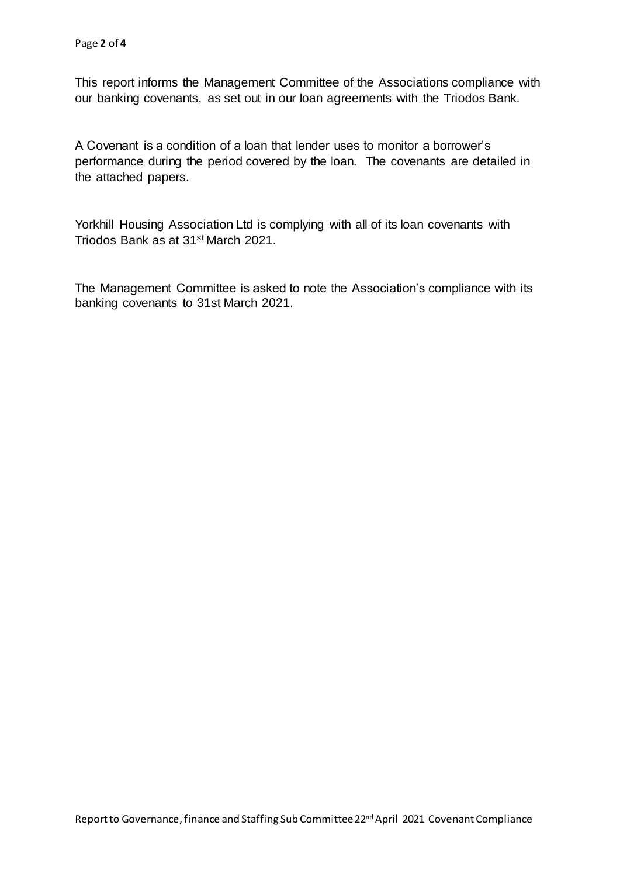This report informs the Management Committee of the Associations compliance with our banking covenants, as set out in our loan agreements with the Triodos Bank.

A Covenant is a condition of a loan that lender uses to monitor a borrower's performance during the period covered by the loan. The covenants are detailed in the attached papers.

Yorkhill Housing Association Ltd is complying with all of its loan covenants with Triodos Bank as at 31st March 2021.

The Management Committee is asked to note the Association's compliance with its banking covenants to 31st March 2021.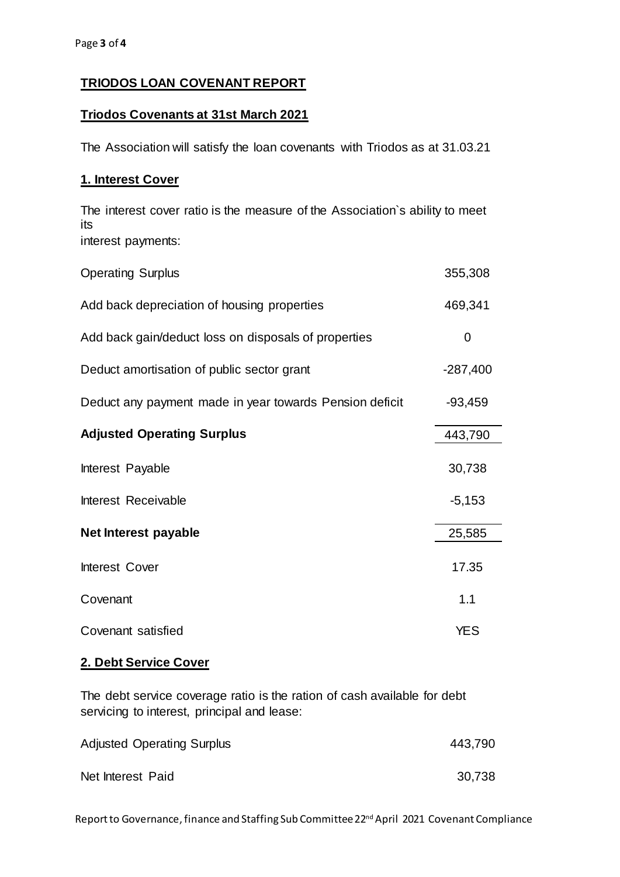## **TRIODOS LOAN COVENANT REPORT**

#### **Triodos Covenants at 31st March 2021**

The Association will satisfy the loan covenants with Triodos as at 31.03.21

#### **1. Interest Cover**

The interest cover ratio is the measure of the Association`s ability to meet its interest payments:

| <b>Operating Surplus</b>                                | 355,308    |
|---------------------------------------------------------|------------|
| Add back depreciation of housing properties             | 469,341    |
| Add back gain/deduct loss on disposals of properties    | 0          |
| Deduct amortisation of public sector grant              | $-287,400$ |
| Deduct any payment made in year towards Pension deficit | $-93,459$  |
| <b>Adjusted Operating Surplus</b>                       | 443,790    |
| Interest Payable                                        | 30,738     |
| Interest Receivable                                     | $-5,153$   |
| Net Interest payable                                    | 25,585     |
| Interest Cover                                          | 17.35      |
| Covenant                                                | 1.1        |
| Covenant satisfied                                      | <b>YES</b> |

#### **2. Debt Service Cover**

The debt service coverage ratio is the ration of cash available for debt servicing to interest, principal and lease:

| <b>Adjusted Operating Surplus</b> | 443,790 |  |
|-----------------------------------|---------|--|
| Net Interest Paid                 | 30,738  |  |